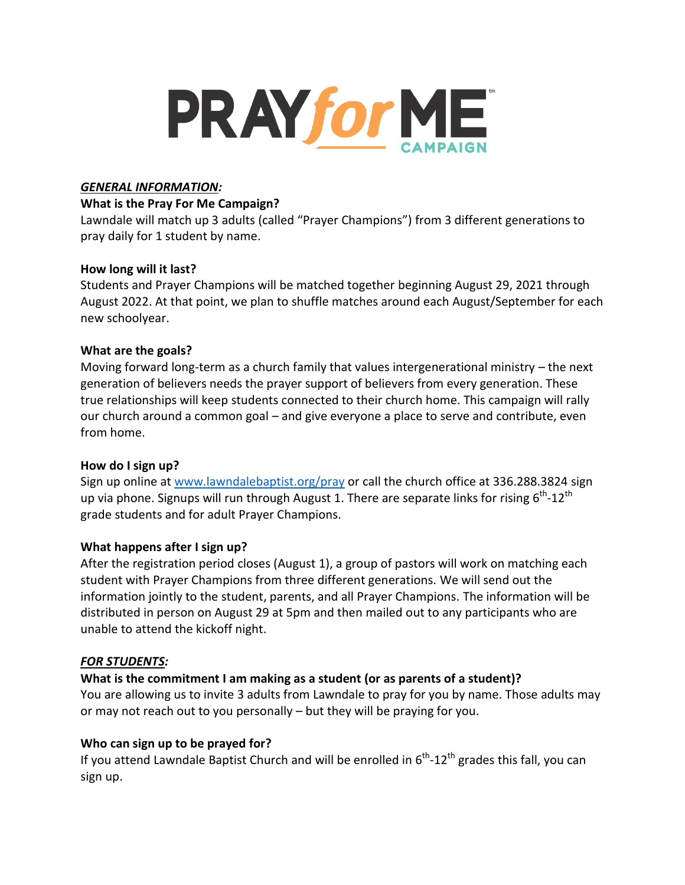

#### *GENERAL INFORMATION:*

#### **What is the Pray For Me Campaign?**

Lawndale will match up 3 adults (called "Prayer Champions") from 3 different generations to pray daily for 1 student by name.

### **How long will it last?**

Students and Prayer Champions will be matched together beginning August 29, 2021 through August 2022. At that point, we plan to shuffle matches around each August/September for each new schoolyear.

### **What are the goals?**

Moving forward long-term as a church family that values intergenerational ministry – the next generation of believers needs the prayer support of believers from every generation. These true relationships will keep students connected to their church home. This campaign will rally our church around a common goal – and give everyone a place to serve and contribute, even from home.

### **How do I sign up?**

Sign up online at [www.lawndalebaptist.org/pray](http://www.lawndalebaptist.org/pray) or call the church office at 336.288.3824 sign up via phone. Signups will run through August 1. There are separate links for rising  $6^{\text{th}}$ -12<sup>th</sup> grade students and for adult Prayer Champions.

### **What happens after I sign up?**

After the registration period closes (August 1), a group of pastors will work on matching each student with Prayer Champions from three different generations. We will send out the information jointly to the student, parents, and all Prayer Champions. The information will be distributed in person on August 29 at 5pm and then mailed out to any participants who are unable to attend the kickoff night.

### *FOR STUDENTS:*

### **What is the commitment I am making as a student (or as parents of a student)?**

You are allowing us to invite 3 adults from Lawndale to pray for you by name. Those adults may or may not reach out to you personally – but they will be praying for you.

### **Who can sign up to be prayed for?**

If you attend Lawndale Baptist Church and will be enrolled in  $6^{th}$ -12<sup>th</sup> grades this fall, you can sign up.